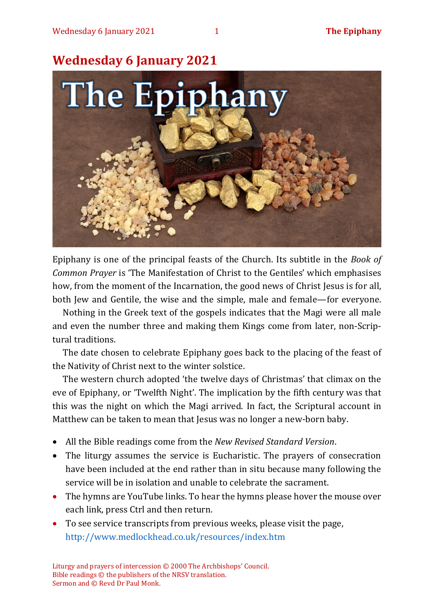

Epiphany is one of the principal feasts of the Church. Its subtitle in the *Book of Common Prayer* is 'The Manifestation of Christ to the Gentiles' which emphasises how, from the moment of the Incarnation, the good news of Christ Jesus is for all, both Jew and Gentile, the wise and the simple, male and female—for everyone.

Nothing in the Greek text of the gospels indicates that the Magi were all male and even the number three and making them Kings come from later, non-Scriptural traditions.

The date chosen to celebrate Epiphany goes back to the placing of the feast of the Nativity of Christ next to the winter solstice.

The western church adopted 'the twelve days of Christmas' that climax on the eve of Epiphany, or 'Twelfth Night'. The implication by the fifth century was that this was the night on which the Magi arrived. In fact, the Scriptural account in Matthew can be taken to mean that Jesus was no longer a new-born baby.

- All the Bible readings come from the *New Revised Standard Version*.
- The liturgy assumes the service is Eucharistic. The prayers of consecration have been included at the end rather than in situ because many following the service will be in isolation and unable to celebrate the sacrament.
- The hymns are YouTube links. To hear the hymns please hover the mouse over each link, press Ctrl and then return.
- To see service transcripts from previous weeks, please visit the page, <http://www.medlockhead.co.uk/resources/index.htm>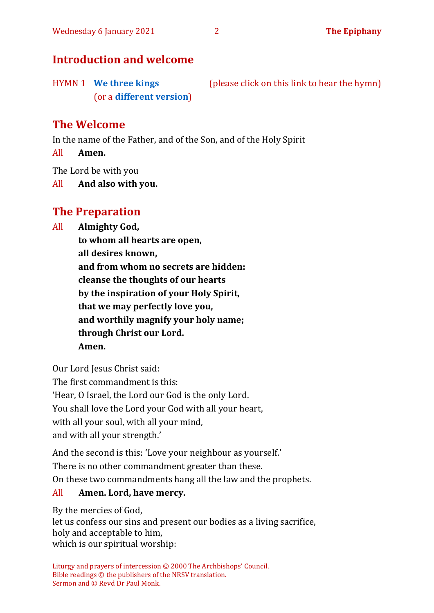# **Introduction and welcome**

HYMN 1 **[We three kings](https://www.youtube.com/watch?v=5TrZB74DALs)** (please click on this link to hear the hymn) (or a **[different version](https://www.youtube.com/watch?v=I5HCVtkdcgw)**)

# **The Welcome**

In the name of the Father, and of the Son, and of the Holy Spirit

All **Amen.**

The Lord be with you

All **And also with you.**

# **The Preparation**

All **Almighty God,**

**to whom all hearts are open, all desires known, and from whom no secrets are hidden: cleanse the thoughts of our hearts by the inspiration of your Holy Spirit, that we may perfectly love you, and worthily magnify your holy name; through Christ our Lord. Amen.**

Our Lord Jesus Christ said: The first commandment is this: 'Hear, O Israel, the Lord our God is the only Lord. You shall love the Lord your God with all your heart, with all your soul, with all your mind, and with all your strength.'

And the second is this: 'Love your neighbour as yourself.' There is no other commandment greater than these. On these two commandments hang all the law and the prophets.

#### All **Amen. Lord, have mercy.**

By the mercies of God, let us confess our sins and present our bodies as a living sacrifice, holy and acceptable to him, which is our spiritual worship: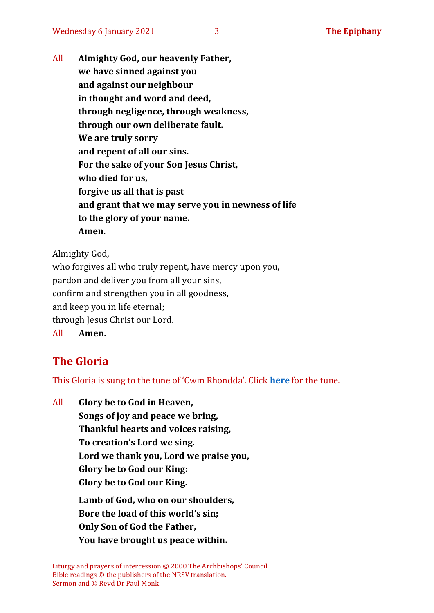All **Almighty God, our heavenly Father, we have sinned against you and against our neighbour in thought and word and deed, through negligence, through weakness, through our own deliberate fault. We are truly sorry and repent of all our sins. For the sake of your Son Jesus Christ, who died for us, forgive us all that is past and grant that we may serve you in newness of life to the glory of your name. Amen.**

Almighty God,

who forgives all who truly repent, have mercy upon you, pardon and deliver you from all your sins, confirm and strengthen you in all goodness, and keep you in life eternal; through Jesus Christ our Lord. All **Amen.**

# **The Gloria**

This Gloria is sung to the tune of 'Cwm Rhondda'. Click **[here](about:blank)** for the tune.

All **Glory be to God in Heaven, Songs of joy and peace we bring, Thankful hearts and voices raising, To creation's Lord we sing. Lord we thank you, Lord we praise you, Glory be to God our King: Glory be to God our King. Lamb of God, who on our shoulders, Bore the load of this world's sin; Only Son of God the Father, You have brought us peace within.**

Liturgy and prayers of intercession © 2000 The Archbishops' Council. Bible readings © the publishers of the NRSV translation. Sermon and © Revd Dr Paul Monk.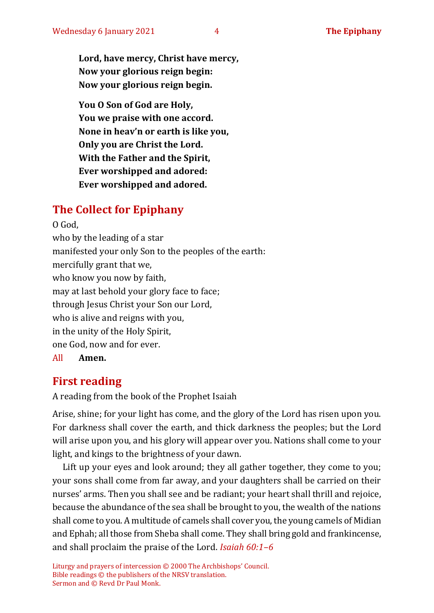**Lord, have mercy, Christ have mercy, Now your glorious reign begin: Now your glorious reign begin.**

**You O Son of God are Holy, You we praise with one accord. None in heav'n or earth is like you, Only you are Christ the Lord. With the Father and the Spirit, Ever worshipped and adored: Ever worshipped and adored.**

# **The Collect for Epiphany**

O God, who by the leading of a star manifested your only Son to the peoples of the earth: mercifully grant that we, who know you now by faith, may at last behold your glory face to face; through Jesus Christ your Son our Lord, who is alive and reigns with you, in the unity of the Holy Spirit, one God, now and for ever. All **Amen.**

# **First reading**

A reading from the book of the Prophet Isaiah

Arise, shine; for your light has come, and the glory of the Lord has risen upon you. For darkness shall cover the earth, and thick darkness the peoples; but the Lord will arise upon you, and his glory will appear over you. Nations shall come to your light, and kings to the brightness of your dawn.

Lift up your eyes and look around; they all gather together, they come to you; your sons shall come from far away, and your daughters shall be carried on their nurses' arms. Then you shall see and be radiant; your heart shall thrill and rejoice, because the abundance of the sea shall be brought to you, the wealth of the nations shall come to you. A multitude of camels shall cover you, the young camels of Midian and Ephah; all those from Sheba shall come. They shall bring gold and frankincense, and shall proclaim the praise of the Lord. *Isaiah 60:1–6*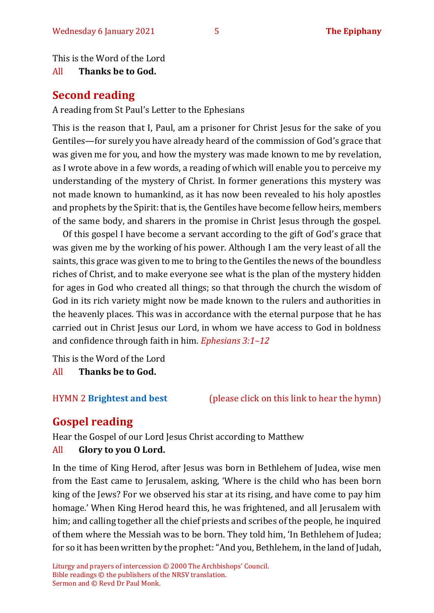This is the Word of the Lord

#### All **Thanks be to God.**

# **Second reading**

A reading from St Paul's Letter to the Ephesians

This is the reason that I, Paul, am a prisoner for Christ Jesus for the sake of you Gentiles—for surely you have already heard of the commission of God's grace that was given me for you, and how the mystery was made known to me by revelation, as I wrote above in a few words, a reading of which will enable you to perceive my understanding of the mystery of Christ. In former generations this mystery was not made known to humankind, as it has now been revealed to his holy apostles and prophets by the Spirit: that is, the Gentiles have become fellow heirs, members of the same body, and sharers in the promise in Christ Jesus through the gospel.

Of this gospel I have become a servant according to the gift of God's grace that was given me by the working of his power. Although I am the very least of all the saints, this grace was given to me to bring to the Gentiles the news of the boundless riches of Christ, and to make everyone see what is the plan of the mystery hidden for ages in God who created all things; so that through the church the wisdom of God in its rich variety might now be made known to the rulers and authorities in the heavenly places. This was in accordance with the eternal purpose that he has carried out in Christ Jesus our Lord, in whom we have access to God in boldness and confidence through faith in him. *Ephesians 3:1–12*

This is the Word of the Lord

All **Thanks be to God.**

HYMN 2 **[Brightest and best](https://youtu.be/y5ACL94B4rM)** (please click on this link to hear the hymn)

# **Gospel reading**

Hear the Gospel of our Lord Jesus Christ according to Matthew

### All **Glory to you O Lord.**

In the time of King Herod, after Jesus was born in Bethlehem of Judea, wise men from the East came to Jerusalem, asking, 'Where is the child who has been born king of the Jews? For we observed his star at its rising, and have come to pay him homage.' When King Herod heard this, he was frightened, and all Jerusalem with him; and calling together all the chief priests and scribes of the people, he inquired of them where the Messiah was to be born. They told him, 'In Bethlehem of Judea; for so it has been written by the prophet: "And you, Bethlehem, in the land of Judah,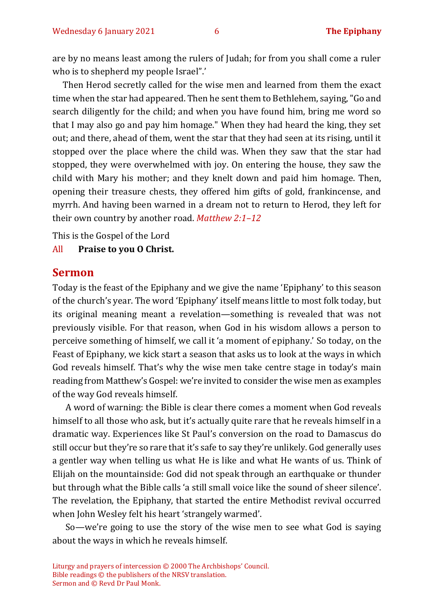are by no means least among the rulers of Judah; for from you shall come a ruler who is to shepherd my people Israel".'

Then Herod secretly called for the wise men and learned from them the exact time when the star had appeared. Then he sent them to Bethlehem, saying, "Go and search diligently for the child; and when you have found him, bring me word so that I may also go and pay him homage." When they had heard the king, they set out; and there, ahead of them, went the star that they had seen at its rising, until it stopped over the place where the child was. When they saw that the star had stopped, they were overwhelmed with joy. On entering the house, they saw the child with Mary his mother; and they knelt down and paid him homage. Then, opening their treasure chests, they offered him gifts of gold, frankincense, and myrrh. And having been warned in a dream not to return to Herod, they left for their own country by another road. *Matthew 2:1–12*

This is the Gospel of the Lord

#### All **Praise to you O Christ.**

#### **Sermon**

Today is the feast of the Epiphany and we give the name 'Epiphany' to this season of the church's year. The word 'Epiphany' itself means little to most folk today, but its original meaning meant a revelation—something is revealed that was not previously visible. For that reason, when God in his wisdom allows a person to perceive something of himself, we call it 'a moment of epiphany.' So today, on the Feast of Epiphany, we kick start a season that asks us to look at the ways in which God reveals himself. That's why the wise men take centre stage in today's main reading from Matthew's Gospel: we're invited to consider the wise men as examples of the way God reveals himself.

A word of warning: the Bible is clear there comes a moment when God reveals himself to all those who ask, but it's actually quite rare that he reveals himself in a dramatic way. Experiences like St Paul's conversion on the road to Damascus do still occur but they're so rare that it's safe to say they're unlikely. God generally uses a gentler way when telling us what He is like and what He wants of us. Think of Elijah on the mountainside: God did not speak through an earthquake or thunder but through what the Bible calls 'a still small voice like the sound of sheer silence'. The revelation, the Epiphany, that started the entire Methodist revival occurred when John Wesley felt his heart 'strangely warmed'.

So—we're going to use the story of the wise men to see what God is saying about the ways in which he reveals himself.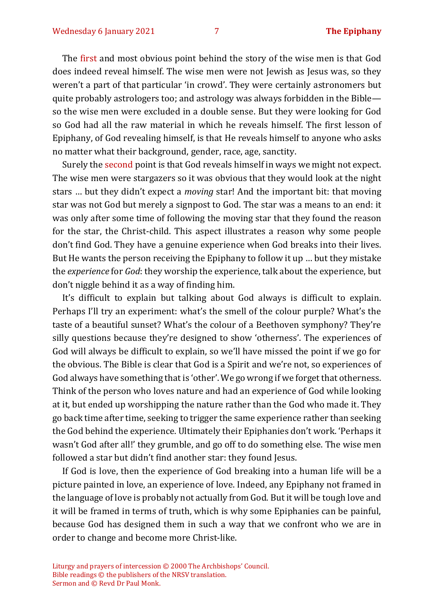The first and most obvious point behind the story of the wise men is that God does indeed reveal himself. The wise men were not Jewish as Jesus was, so they weren't a part of that particular 'in crowd'. They were certainly astronomers but quite probably astrologers too; and astrology was always forbidden in the Bible so the wise men were excluded in a double sense. But they were looking for God so God had all the raw material in which he reveals himself. The first lesson of Epiphany, of God revealing himself, is that He reveals himself to anyone who asks no matter what their background, gender, race, age, sanctity.

Surely the second point is that God reveals himself in ways we might not expect. The wise men were stargazers so it was obvious that they would look at the night stars … but they didn't expect a *moving* star! And the important bit: that moving star was not God but merely a signpost to God. The star was a means to an end: it was only after some time of following the moving star that they found the reason for the star, the Christ-child. This aspect illustrates a reason why some people don't find God. They have a genuine experience when God breaks into their lives. But He wants the person receiving the Epiphany to follow it up … but they mistake the *experience* for *God*: they worship the experience, talk about the experience, but don't niggle behind it as a way of finding him.

It's difficult to explain but talking about God always is difficult to explain. Perhaps I'll try an experiment: what's the smell of the colour purple? What's the taste of a beautiful sunset? What's the colour of a Beethoven symphony? They're silly questions because they're designed to show 'otherness'. The experiences of God will always be difficult to explain, so we'll have missed the point if we go for the obvious. The Bible is clear that God is a Spirit and we're not, so experiences of God always have something that is 'other'. We go wrong if we forget that otherness. Think of the person who loves nature and had an experience of God while looking at it, but ended up worshipping the nature rather than the God who made it. They go back time after time, seeking to trigger the same experience rather than seeking the God behind the experience. Ultimately their Epiphanies don't work. 'Perhaps it wasn't God after all!' they grumble, and go off to do something else. The wise men followed a star but didn't find another star: they found Jesus.

If God is love, then the experience of God breaking into a human life will be a picture painted in love, an experience of love. Indeed, any Epiphany not framed in the language of love is probably not actually from God. But it will be tough love and it will be framed in terms of truth, which is why some Epiphanies can be painful, because God has designed them in such a way that we confront who we are in order to change and become more Christ-like.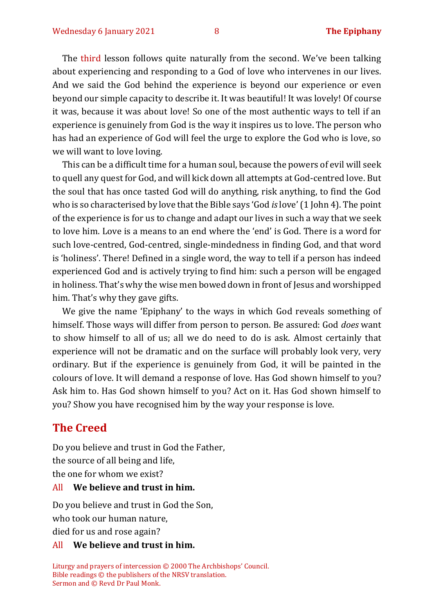The third lesson follows quite naturally from the second. We've been talking about experiencing and responding to a God of love who intervenes in our lives. And we said the God behind the experience is beyond our experience or even beyond our simple capacity to describe it. It was beautiful! It was lovely! Of course it was, because it was about love! So one of the most authentic ways to tell if an experience is genuinely from God is the way it inspires us to love. The person who has had an experience of God will feel the urge to explore the God who is love, so we will want to love loving.

This can be a difficult time for a human soul, because the powers of evil will seek to quell any quest for God, and will kick down all attempts at God-centred love. But the soul that has once tasted God will do anything, risk anything, to find the God who is so characterised by love that the Bible says 'God *is* love'(1 John 4). The point of the experience is for us to change and adapt our lives in such a way that we seek to love him. Love is a means to an end where the 'end' is God. There is a word for such love-centred, God-centred, single-mindedness in finding God, and that word is 'holiness'. There! Defined in a single word, the way to tell if a person has indeed experienced God and is actively trying to find him: such a person will be engaged in holiness. That's why the wise men bowed down in front of Jesus and worshipped him. That's why they gave gifts.

We give the name 'Epiphany' to the ways in which God reveals something of himself. Those ways will differ from person to person. Be assured: God *does* want to show himself to all of us; all we do need to do is ask. Almost certainly that experience will not be dramatic and on the surface will probably look very, very ordinary. But if the experience is genuinely from God, it will be painted in the colours of love. It will demand a response of love. Has God shown himself to you? Ask him to. Has God shown himself to you? Act on it. Has God shown himself to you? Show you have recognised him by the way your response is love.

#### **The Creed**

Do you believe and trust in God the Father,

the source of all being and life,

the one for whom we exist?

#### All **We believe and trust in him.**

Do you believe and trust in God the Son, who took our human nature,

died for us and rose again?

#### All **We believe and trust in him.**

Liturgy and prayers of intercession © 2000 The Archbishops' Council. Bible readings © the publishers of the NRSV translation. Sermon and © Revd Dr Paul Monk.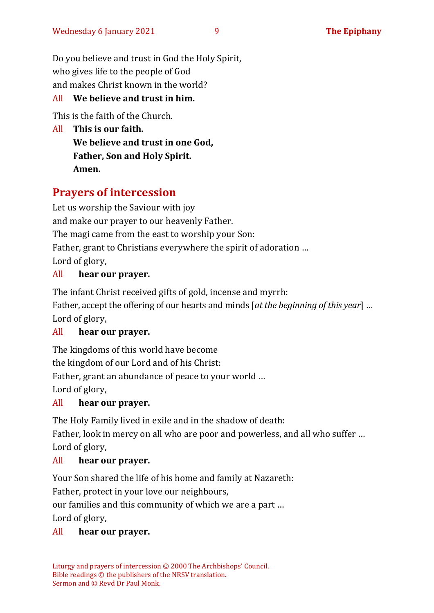Do you believe and trust in God the Holy Spirit, who gives life to the people of God and makes Christ known in the world?

# All **We believe and trust in him.**

This is the faith of the Church.

All **This is our faith. We believe and trust in one God, Father, Son and Holy Spirit. Amen.**

# **Prayers of intercession**

Let us worship the Saviour with joy and make our prayer to our heavenly Father. The magi came from the east to worship your Son: Father, grant to Christians everywhere the spirit of adoration … Lord of glory,

# All **hear our prayer.**

The infant Christ received gifts of gold, incense and myrrh:

Father, accept the offering of our hearts and minds [*at the beginning of this year*] … Lord of glory,

### All **hear our prayer.**

The kingdoms of this world have become the kingdom of our Lord and of his Christ: Father, grant an abundance of peace to your world … Lord of glory,

### All **hear our prayer.**

The Holy Family lived in exile and in the shadow of death:

Father, look in mercy on all who are poor and powerless, and all who suffer … Lord of glory,

### All **hear our prayer.**

Your Son shared the life of his home and family at Nazareth:

Father, protect in your love our neighbours,

our families and this community of which we are a part …

Lord of glory,

### All **hear our prayer.**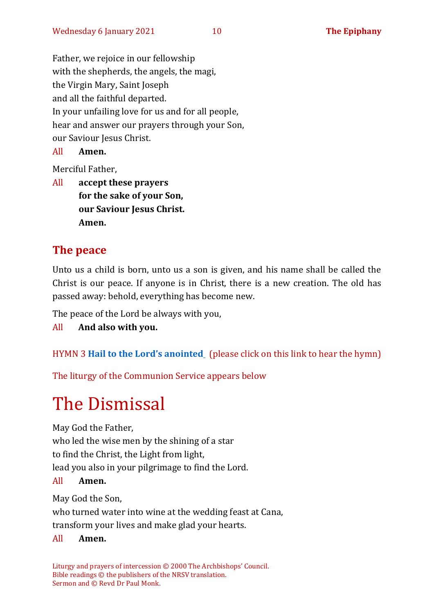Father, we rejoice in our fellowship with the shepherds, the angels, the magi, the Virgin Mary, Saint Joseph and all the faithful departed. In your unfailing love for us and for all people, hear and answer our prayers through your Son, our Saviour Jesus Christ.

All **Amen.**

Merciful Father,

All **accept these prayers for the sake of your Son, our Saviour Jesus Christ. Amen.**

# **The peace**

Unto us a child is born, unto us a son is given, and his name shall be called the Christ is our peace. If anyone is in Christ, there is a new creation. The old has passed away: behold, everything has become new.

The peace of the Lord be always with you,

All **And also with you.**

HYMN 3 **[Hail to the Lord](https://www.youtube.com/watch?v=Ab4Rl6ReIXQ)'s anointed** (please click on this link to hear the hymn)

The liturgy of the Communion Service appears below

# The Dismissal

May God the Father,

who led the wise men by the shining of a star

to find the Christ, the Light from light,

lead you also in your pilgrimage to find the Lord.

#### All **Amen.**

May God the Son,

who turned water into wine at the wedding feast at Cana, transform your lives and make glad your hearts.

#### All **Amen.**

Liturgy and prayers of intercession © 2000 The Archbishops' Council. Bible readings © the publishers of the NRSV translation. Sermon and © Revd Dr Paul Monk.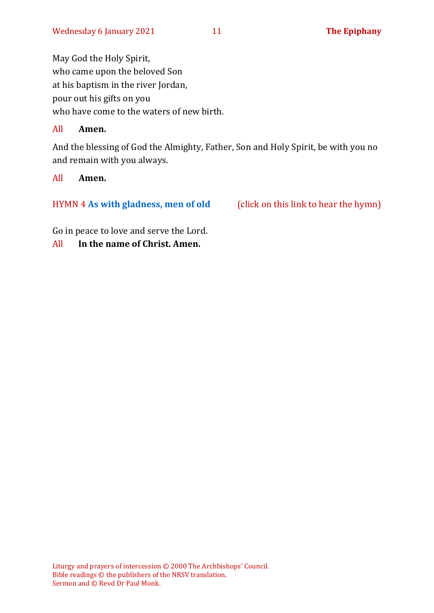May God the Holy Spirit, who came upon the beloved Son at his baptism in the river Jordan, pour out his gifts on you who have come to the waters of new birth.

#### All **Amen.**

And the blessing of God the Almighty, Father, Son and Holy Spirit, be with you no and remain with you always.

#### All **Amen.**

#### HYMN 4 [As with gladness, men of old](https://www.youtube.com/watch?v=sp52sx2_GYs) (click on this link to hear the hymn)

Go in peace to love and serve the Lord.

All **In the name of Christ. Amen.**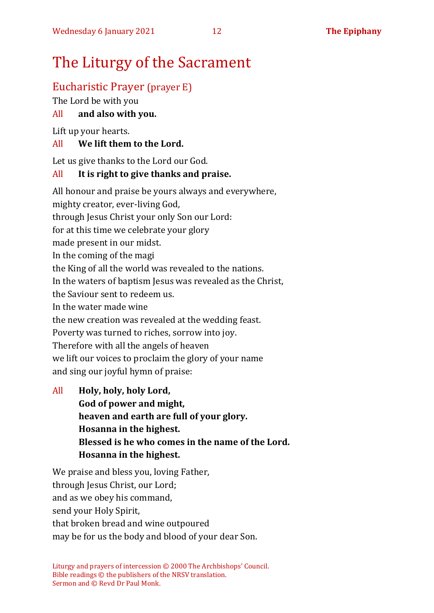# The Liturgy of the Sacrament

# Eucharistic Prayer (prayer E)

The Lord be with you

### All **and also with you.**

Lift up your hearts.

### All **We lift them to the Lord.**

Let us give thanks to the Lord our God.

### All **It is right to give thanks and praise.**

All honour and praise be yours always and everywhere, mighty creator, ever-living God, through Jesus Christ your only Son our Lord: for at this time we celebrate your glory made present in our midst. In the coming of the magi the King of all the world was revealed to the nations. In the waters of baptism Jesus was revealed as the Christ, the Saviour sent to redeem us. In the water made wine the new creation was revealed at the wedding feast. Poverty was turned to riches, sorrow into joy. Therefore with all the angels of heaven we lift our voices to proclaim the glory of your name and sing our joyful hymn of praise:

All **Holy, holy, holy Lord, God of power and might, heaven and earth are full of your glory. Hosanna in the highest. Blessed is he who comes in the name of the Lord. Hosanna in the highest.**

We praise and bless you, loving Father, through Jesus Christ, our Lord; and as we obey his command, send your Holy Spirit, that broken bread and wine outpoured may be for us the body and blood of your dear Son.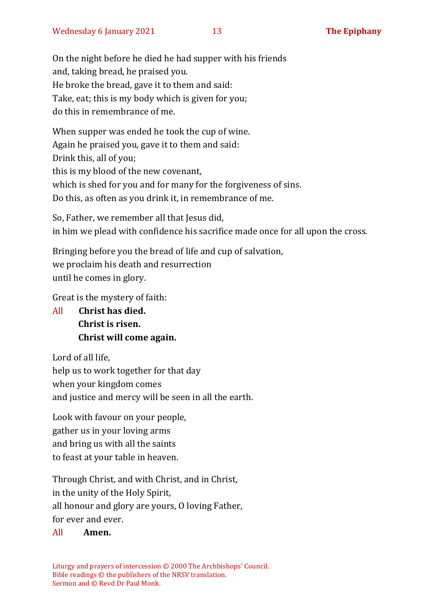On the night before he died he had supper with his friends and, taking bread, he praised you. He broke the bread, gave it to them and said: Take, eat; this is my body which is given for you; do this in remembrance of me.

When supper was ended he took the cup of wine. Again he praised you, gave it to them and said: Drink this, all of you; this is my blood of the new covenant, which is shed for you and for many for the forgiveness of sins. Do this, as often as you drink it, in remembrance of me.

So, Father, we remember all that Jesus did, in him we plead with confidence his sacrifice made once for all upon the cross.

Bringing before you the bread of life and cup of salvation, we proclaim his death and resurrection until he comes in glory.

Great is the mystery of faith:

All **Christ has died. Christ is risen. Christ will come again.**

Lord of all life, help us to work together for that day when your kingdom comes and justice and mercy will be seen in all the earth.

Look with favour on your people, gather us in your loving arms and bring us with all the saints to feast at your table in heaven.

Through Christ, and with Christ, and in Christ, in the unity of the Holy Spirit, all honour and glory are yours, O loving Father, for ever and ever.

#### All **Amen.**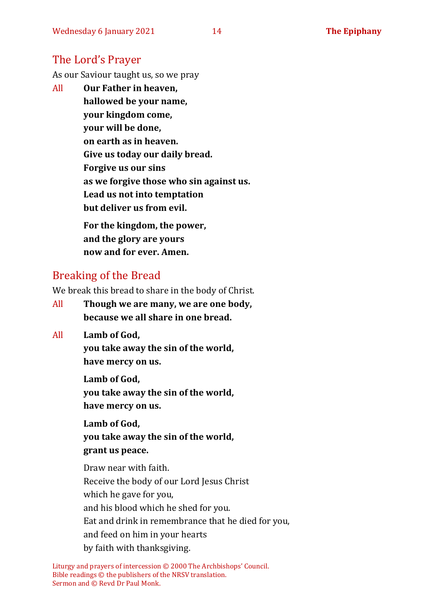# The Lord's Prayer

As our Saviour taught us, so we pray

All **Our Father in heaven, hallowed be your name, your kingdom come, your will be done, on earth as in heaven. Give us today our daily bread. Forgive us our sins as we forgive those who sin against us. Lead us not into temptation but deliver us from evil. For the kingdom, the power,** 

**and the glory are yours now and for ever. Amen.**

# Breaking of the Bread

We break this bread to share in the body of Christ.

- All **Though we are many, we are one body, because we all share in one bread.**
- All **Lamb of God,**

**you take away the sin of the world, have mercy on us.**

**Lamb of God, you take away the sin of the world, have mercy on us.**

**Lamb of God, you take away the sin of the world, grant us peace.**

Draw near with faith. Receive the body of our Lord Jesus Christ which he gave for you, and his blood which he shed for you. Eat and drink in remembrance that he died for you, and feed on him in your hearts by faith with thanksgiving.